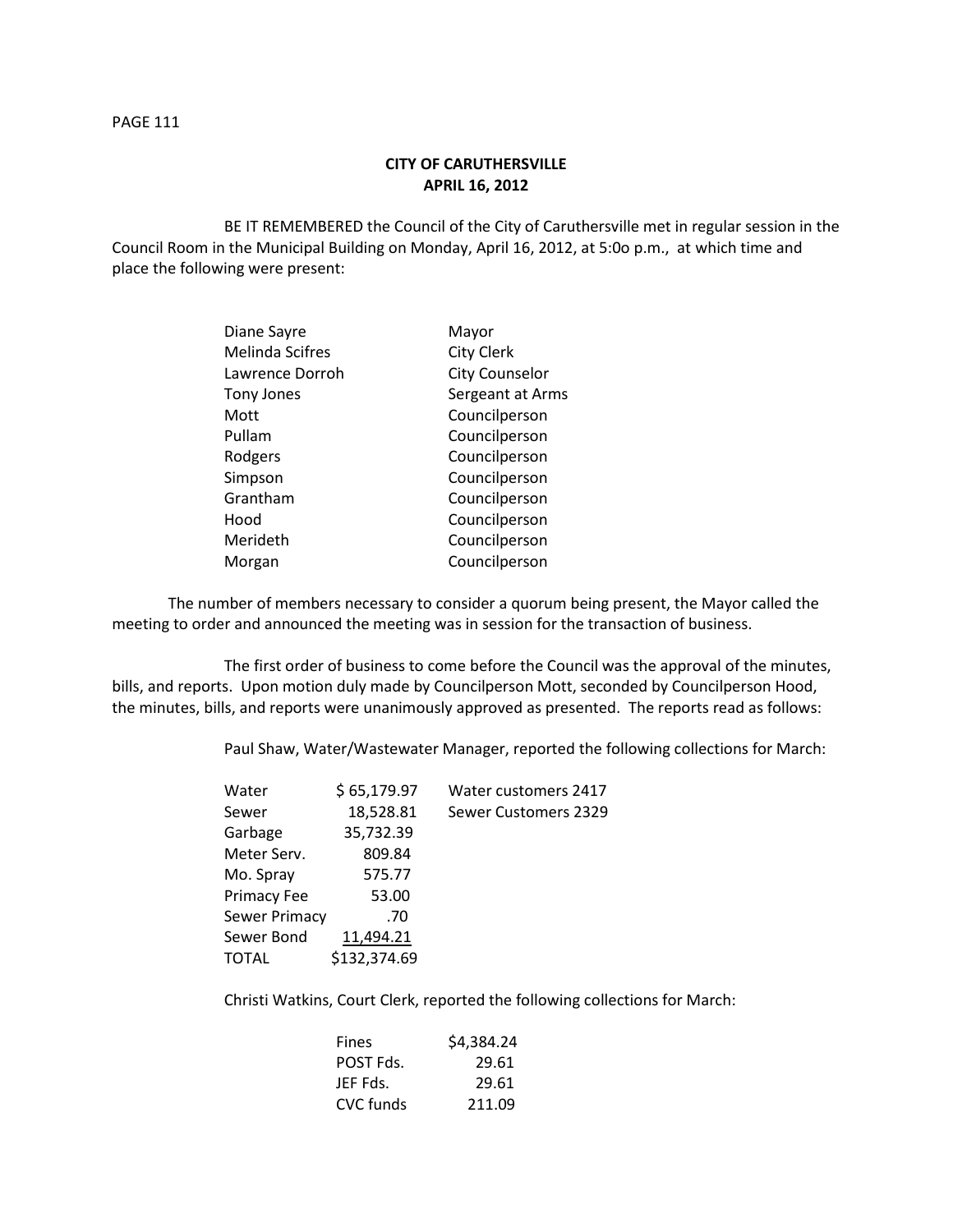## **CITY OF CARUTHERSVILLE APRIL 16, 2012**

BE IT REMEMBERED the Council of the City of Caruthersville met in regular session in the Council Room in the Municipal Building on Monday, April 16, 2012, at 5:0o p.m., at which time and place the following were present:

| Diane Sayre            | Mayor                 |
|------------------------|-----------------------|
| <b>Melinda Scifres</b> | <b>City Clerk</b>     |
| Lawrence Dorroh        | <b>City Counselor</b> |
| Tony Jones             | Sergeant at Arms      |
| Mott                   | Councilperson         |
| Pullam                 | Councilperson         |
| Rodgers                | Councilperson         |
| Simpson                | Councilperson         |
| Grantham               | Councilperson         |
| Hood                   | Councilperson         |
| Merideth               | Councilperson         |
| Morgan                 | Councilperson         |

The number of members necessary to consider a quorum being present, the Mayor called the meeting to order and announced the meeting was in session for the transaction of business.

The first order of business to come before the Council was the approval of the minutes, bills, and reports. Upon motion duly made by Councilperson Mott, seconded by Councilperson Hood, the minutes, bills, and reports were unanimously approved as presented. The reports read as follows:

Paul Shaw, Water/Wastewater Manager, reported the following collections for March:

| Water         | \$65,179.97  | Water customers 2417 |
|---------------|--------------|----------------------|
| Sewer         | 18,528.81    | Sewer Customers 2329 |
| Garbage       | 35,732.39    |                      |
| Meter Serv.   | 809.84       |                      |
| Mo. Spray     | 575.77       |                      |
| Primacy Fee   | 53.00        |                      |
| Sewer Primacy | .70          |                      |
| Sewer Bond    | 11,494.21    |                      |
| TOTAL         | \$132,374.69 |                      |
|               |              |                      |

Christi Watkins, Court Clerk, reported the following collections for March:

| <b>Fines</b> | \$4,384.24 |
|--------------|------------|
| POST Fds.    | 29.61      |
| JEF Fds.     | 29.61      |
| CVC funds    | 211.09     |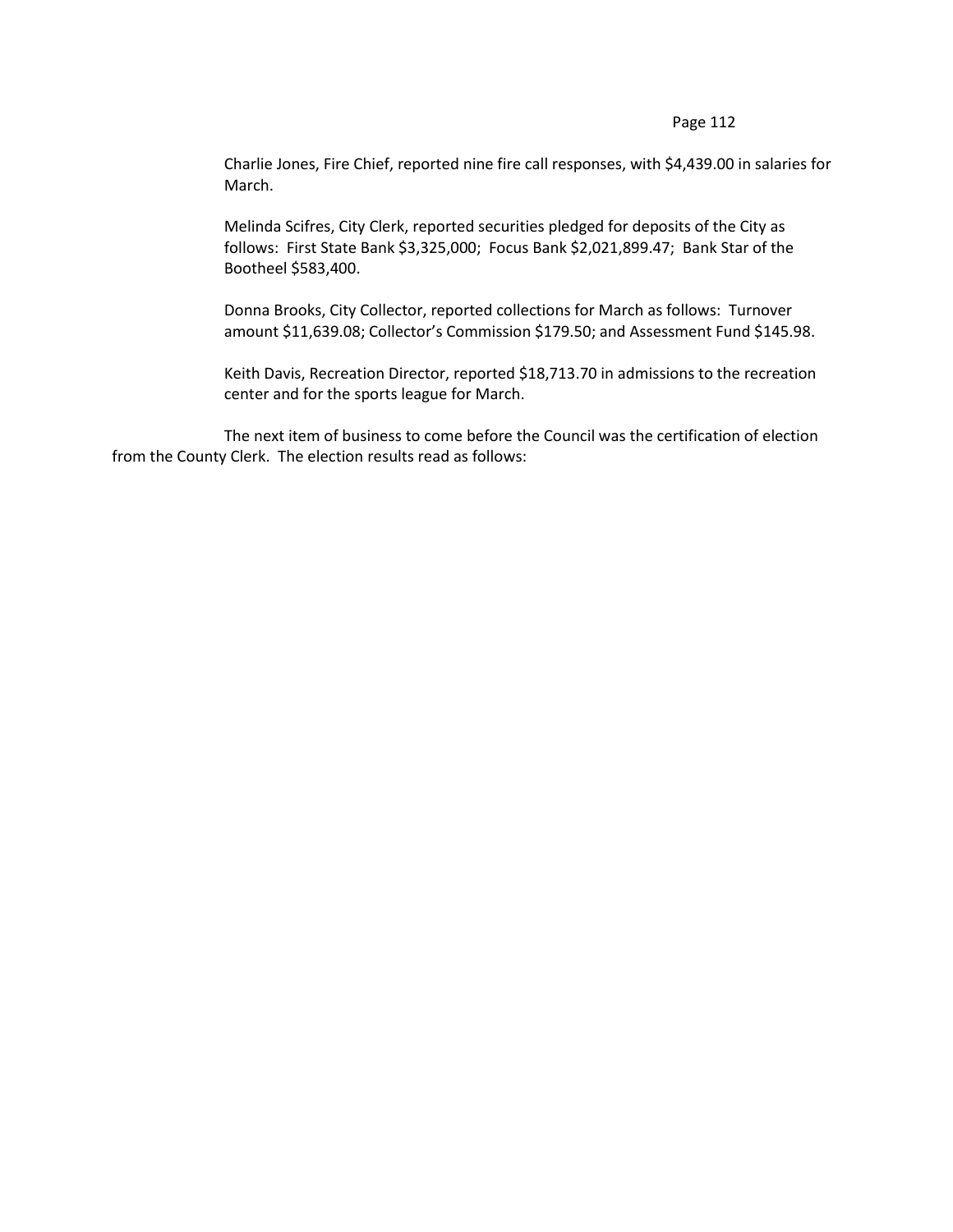Charlie Jones, Fire Chief, reported nine fire call responses, with \$4,439.00 in salaries for March.

Melinda Scifres, City Clerk, reported securities pledged for deposits of the City as follows: First State Bank \$3,325,000; Focus Bank \$2,021,899.47; Bank Star of the Bootheel \$583,400.

Donna Brooks, City Collector, reported collections for March as follows: Turnover amount \$11,639.08; Collector's Commission \$179.50; and Assessment Fund \$145.98.

Keith Davis, Recreation Director, reported \$18,713.70 in admissions to the recreation center and for the sports league for March.

The next item of business to come before the Council was the certification of election from the County Clerk. The election results read as follows: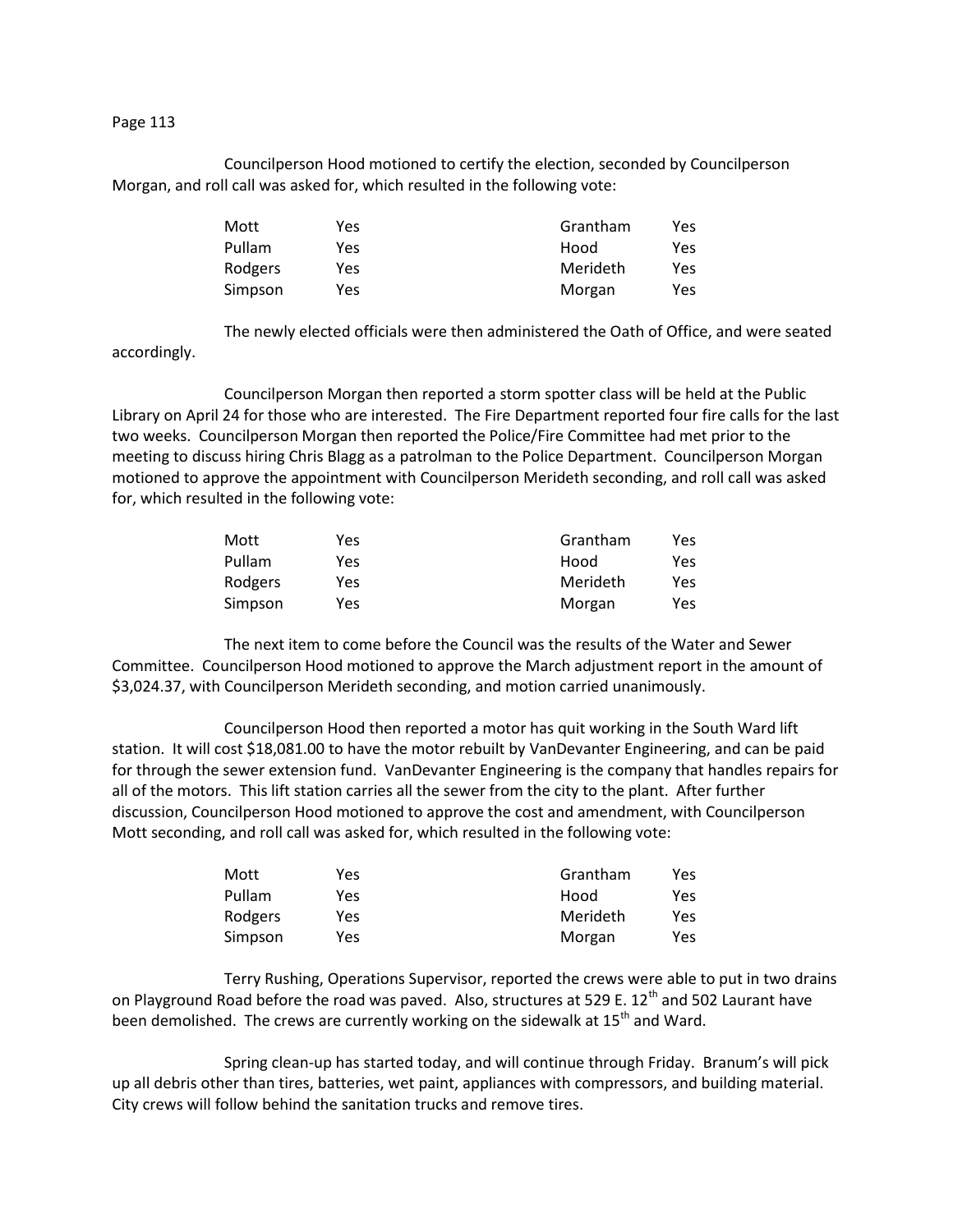Councilperson Hood motioned to certify the election, seconded by Councilperson Morgan, and roll call was asked for, which resulted in the following vote:

| Mott    | Yes | Grantham | Yes |
|---------|-----|----------|-----|
| Pullam  | Yes | Hood     | Yes |
| Rodgers | Yes | Merideth | Yes |
| Simpson | Yes | Morgan   | Yes |

The newly elected officials were then administered the Oath of Office, and were seated

accordingly.

Councilperson Morgan then reported a storm spotter class will be held at the Public Library on April 24 for those who are interested. The Fire Department reported four fire calls for the last two weeks. Councilperson Morgan then reported the Police/Fire Committee had met prior to the meeting to discuss hiring Chris Blagg as a patrolman to the Police Department. Councilperson Morgan motioned to approve the appointment with Councilperson Merideth seconding, and roll call was asked for, which resulted in the following vote:

| Mott           | Yes | Grantham | Yes |
|----------------|-----|----------|-----|
| Pullam         | Yes | Hood     | Yes |
| <b>Rodgers</b> | Yes | Merideth | Yes |
| Simpson        | Yes | Morgan   | Yes |

The next item to come before the Council was the results of the Water and Sewer Committee. Councilperson Hood motioned to approve the March adjustment report in the amount of \$3,024.37, with Councilperson Merideth seconding, and motion carried unanimously.

Councilperson Hood then reported a motor has quit working in the South Ward lift station. It will cost \$18,081.00 to have the motor rebuilt by VanDevanter Engineering, and can be paid for through the sewer extension fund. VanDevanter Engineering is the company that handles repairs for all of the motors. This lift station carries all the sewer from the city to the plant. After further discussion, Councilperson Hood motioned to approve the cost and amendment, with Councilperson Mott seconding, and roll call was asked for, which resulted in the following vote:

| Mott    | Yes | Grantham | Yes |
|---------|-----|----------|-----|
| Pullam  | Yes | Hood     | Yes |
| Rodgers | Yes | Merideth | Yes |
| Simpson | Yes | Morgan   | Yes |

Terry Rushing, Operations Supervisor, reported the crews were able to put in two drains on Playground Road before the road was paved. Also, structures at 529 E. 12<sup>th</sup> and 502 Laurant have been demolished. The crews are currently working on the sidewalk at  $15<sup>th</sup>$  and Ward.

Spring clean-up has started today, and will continue through Friday. Branum's will pick up all debris other than tires, batteries, wet paint, appliances with compressors, and building material. City crews will follow behind the sanitation trucks and remove tires.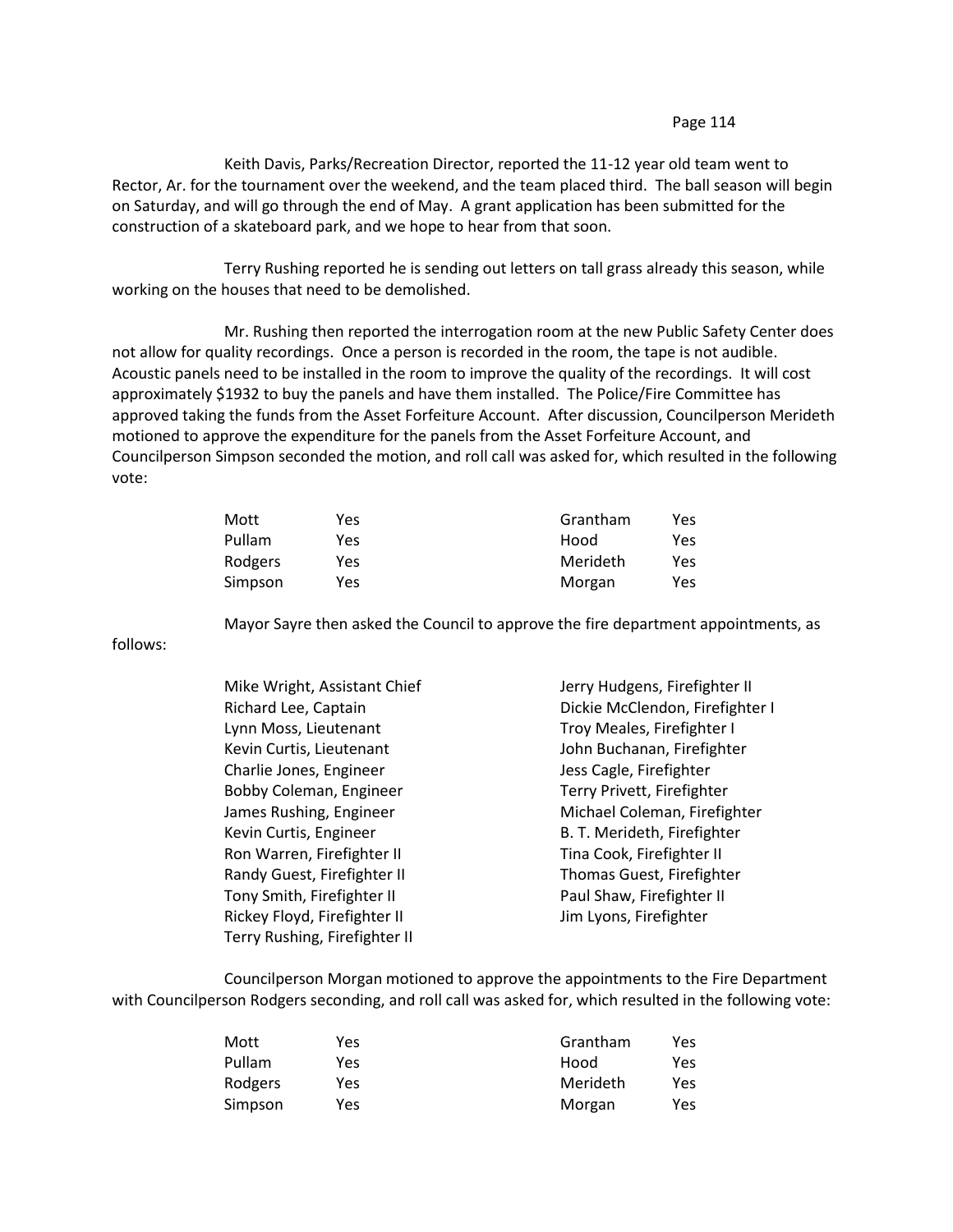Keith Davis, Parks/Recreation Director, reported the 11-12 year old team went to Rector, Ar. for the tournament over the weekend, and the team placed third. The ball season will begin on Saturday, and will go through the end of May. A grant application has been submitted for the construction of a skateboard park, and we hope to hear from that soon.

Terry Rushing reported he is sending out letters on tall grass already this season, while working on the houses that need to be demolished.

Mr. Rushing then reported the interrogation room at the new Public Safety Center does not allow for quality recordings. Once a person is recorded in the room, the tape is not audible. Acoustic panels need to be installed in the room to improve the quality of the recordings. It will cost approximately \$1932 to buy the panels and have them installed. The Police/Fire Committee has approved taking the funds from the Asset Forfeiture Account. After discussion, Councilperson Merideth motioned to approve the expenditure for the panels from the Asset Forfeiture Account, and Councilperson Simpson seconded the motion, and roll call was asked for, which resulted in the following vote:

| Mott    | Yes | Grantham | Yes |
|---------|-----|----------|-----|
| Pullam  | Yes | Hood     | Yes |
| Rodgers | Yes | Merideth | Yes |
| Simpson | Yes | Morgan   | Yes |

follows:

| Mike Wright, Assistant Chief  | Jerry Hudgens, Firefighter II   |
|-------------------------------|---------------------------------|
| Richard Lee, Captain          | Dickie McClendon, Firefighter I |
| Lynn Moss, Lieutenant         | Troy Meales, Firefighter I      |
| Kevin Curtis, Lieutenant      | John Buchanan, Firefighter      |
| Charlie Jones, Engineer       | Jess Cagle, Firefighter         |
| Bobby Coleman, Engineer       | Terry Privett, Firefighter      |
| James Rushing, Engineer       | Michael Coleman, Firefighter    |
| Kevin Curtis, Engineer        | B. T. Merideth, Firefighter     |
| Ron Warren, Firefighter II    | Tina Cook, Firefighter II       |
| Randy Guest, Firefighter II   | Thomas Guest, Firefighter       |
| Tony Smith, Firefighter II    | Paul Shaw, Firefighter II       |
| Rickey Floyd, Firefighter II  | Jim Lyons, Firefighter          |
| Terry Rushing, Firefighter II |                                 |

Mayor Sayre then asked the Council to approve the fire department appointments, as

Councilperson Morgan motioned to approve the appointments to the Fire Department with Councilperson Rodgers seconding, and roll call was asked for, which resulted in the following vote:

| Mott    | Yes | Grantham | Yes |
|---------|-----|----------|-----|
| Pullam  | Yes | Hood     | Yes |
| Rodgers | Yes | Merideth | Yes |
| Simpson | Yes | Morgan   | Yes |